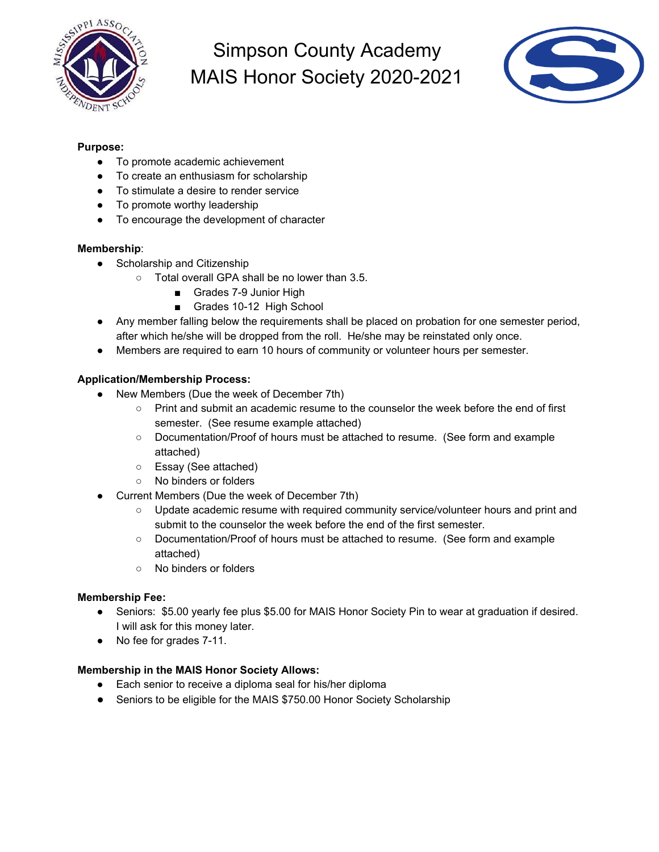



### **Purpose:**

- To promote academic achievement
- To create an enthusiasm for scholarship
- To stimulate a desire to render service
- To promote worthy leadership
- To encourage the development of character

#### **Membership**:

- Scholarship and Citizenship
	- Total overall GPA shall be no lower than 3.5.
		- Grades 7-9 Junior High
		- Grades 10-12 High School
- Any member falling below the requirements shall be placed on probation for one semester period, after which he/she will be dropped from the roll. He/she may be reinstated only once.
- Members are required to earn 10 hours of community or volunteer hours per semester.

#### **Application/Membership Process:**

- New Members (Due the week of December 7th)
	- Print and submit an academic resume to the counselor the week before the end of first semester. (See resume example attached)
	- Documentation/Proof of hours must be attached to resume. (See form and example attached)
	- Essay (See attached)
	- No binders or folders
- Current Members (Due the week of December 7th)
	- o Update academic resume with required community service/volunteer hours and print and submit to the counselor the week before the end of the first semester.
	- Documentation/Proof of hours must be attached to resume. (See form and example attached)
	- No binders or folders

#### **Membership Fee:**

- Seniors: \$5.00 yearly fee plus \$5.00 for MAIS Honor Society Pin to wear at graduation if desired. I will ask for this money later.
- No fee for grades 7-11.

#### **Membership in the MAIS Honor Society Allows:**

- Each senior to receive a diploma seal for his/her diploma
- Seniors to be eligible for the MAIS \$750.00 Honor Society Scholarship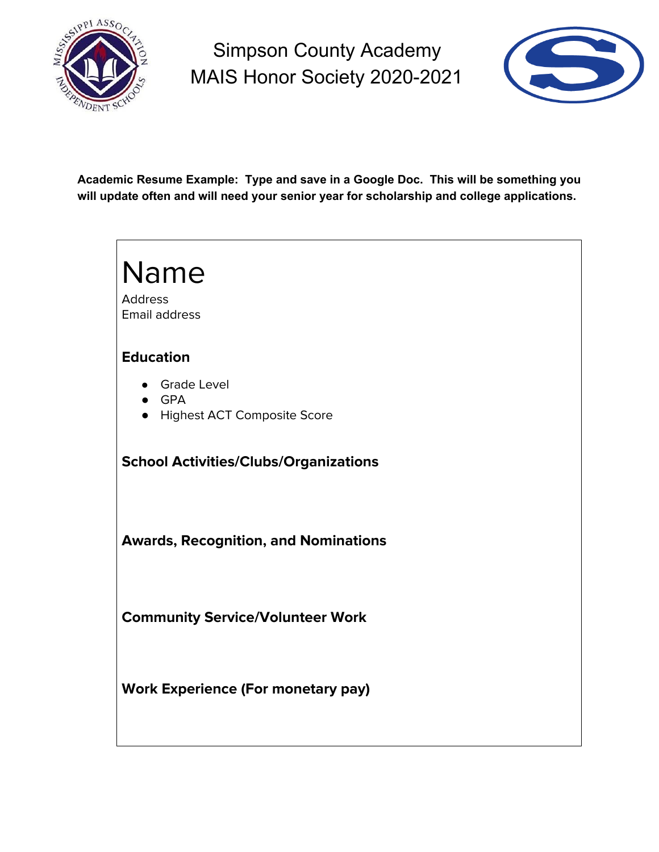



**Academic Resume Example: Type and save in a Google Doc. This will be something you will update often and will need your senior year for scholarship and college applications.**

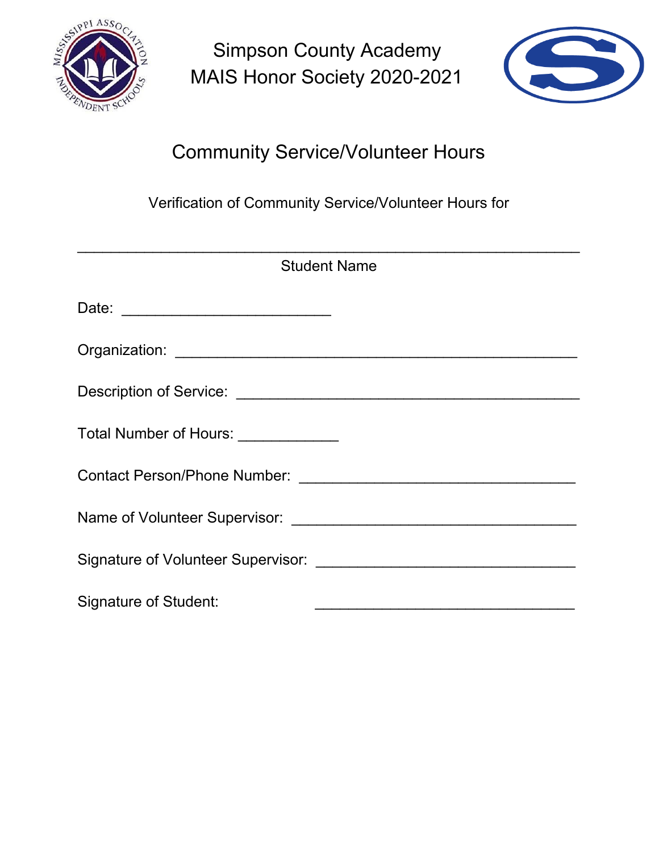



# Community Service/Volunteer Hours

Verification of Community Service/Volunteer Hours for

| <b>Student Name</b>                  |
|--------------------------------------|
|                                      |
|                                      |
|                                      |
| Total Number of Hours: _____________ |
|                                      |
|                                      |
|                                      |
| Signature of Student:                |